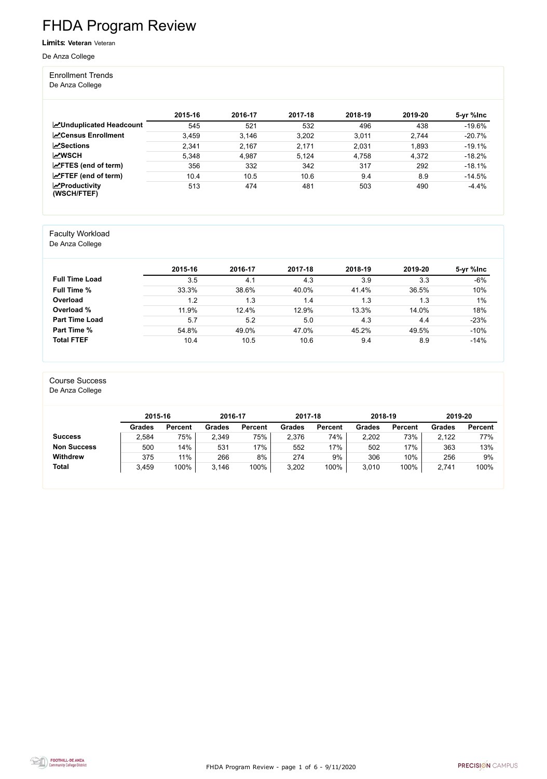FHDA Program Review - page 1 of 6 - 9/11/2020



# FHDA Program Review

Limits: **Veteran** Veteran

De Anza College

#### Enrollment Trends

De Anza College

|                                                  | 2015-16 | 2016-17 | 2017-18 | 2018-19 | 2019-20 | 5-yr %lnc |
|--------------------------------------------------|---------|---------|---------|---------|---------|-----------|
| <b>MUnduplicated Headcount</b>                   | 545     | 521     | 532     | 496     | 438     | $-19.6%$  |
| <b>∠</b> Census Enrollment                       | 3,459   | 3,146   | 3,202   | 3,011   | 2,744   | $-20.7%$  |
| $\sqrt{S}$ ections                               | 2,341   | 2,167   | 2,171   | 2,031   | 1,893   | $-19.1%$  |
| <b>MWSCH</b>                                     | 5,348   | 4,987   | 5,124   | 4,758   | 4,372   | $-18.2%$  |
| $\angle$ FTES (end of term)                      | 356     | 332     | 342     | 317     | 292     | $-18.1%$  |
| $\angle$ FTEF (end of term)                      | 10.4    | 10.5    | 10.6    | 9.4     | 8.9     | $-14.5%$  |
| $\sqrt{\frac{1}{2}}$ Productivity<br>(WSCH/FTEF) | 513     | 474     | 481     | 503     | 490     | $-4.4%$   |

#### Faculty Workload

De Anza College

|                       | 2015-16 | 2016-17 | 2017-18 | 2018-19 | 2019-20 | 5-yr %lnc |
|-----------------------|---------|---------|---------|---------|---------|-----------|
| <b>Full Time Load</b> | 3.5     | 4.1     | 4.3     | 3.9     | 3.3     | $-6%$     |
| <b>Full Time %</b>    | 33.3%   | 38.6%   | 40.0%   | 41.4%   | 36.5%   | 10%       |
| Overload              | 1.2     | 1.3     | 1.4     | 1.3     | 1.3     | 1%        |
| Overload %            | 11.9%   | 12.4%   | 12.9%   | 13.3%   | 14.0%   | 18%       |
| <b>Part Time Load</b> | 5.7     | 5.2     | 5.0     | 4.3     | 4.4     | $-23%$    |
| <b>Part Time %</b>    | 54.8%   | 49.0%   | 47.0%   | 45.2%   | 49.5%   | $-10%$    |
| <b>Total FTEF</b>     | 10.4    | 10.5    | 10.6    | 9.4     | 8.9     | $-14%$    |

#### Course Success

De Anza College

|                    |               | 2015-16        |               | 2016-17        | 2017-18       |                | 2018-19       |                | 2019-20       |                |
|--------------------|---------------|----------------|---------------|----------------|---------------|----------------|---------------|----------------|---------------|----------------|
|                    | <b>Grades</b> | <b>Percent</b> | <b>Grades</b> | <b>Percent</b> | <b>Grades</b> | <b>Percent</b> | <b>Grades</b> | <b>Percent</b> | <b>Grades</b> | <b>Percent</b> |
| <b>Success</b>     | 2,584         | 75%            | 2,349         | 75%            | 2,376         | 74%            | 2,202         | 73%            | 2,122         | 77%            |
| <b>Non Success</b> | 500           | 14%            | 531           | 17%            | 552           | 17%            | 502           | 17%            | 363           | 13%            |
| <b>Withdrew</b>    | 375           | 11%            | 266           | 8%             | 274           | 9%             | 306           | 10%            | 256           | 9%             |
| <b>Total</b>       | 3,459         | 100%           | 3.146         | 100%           | 3,202         | 100%           | 3,010         | 100%           | 2,741         | 100%           |

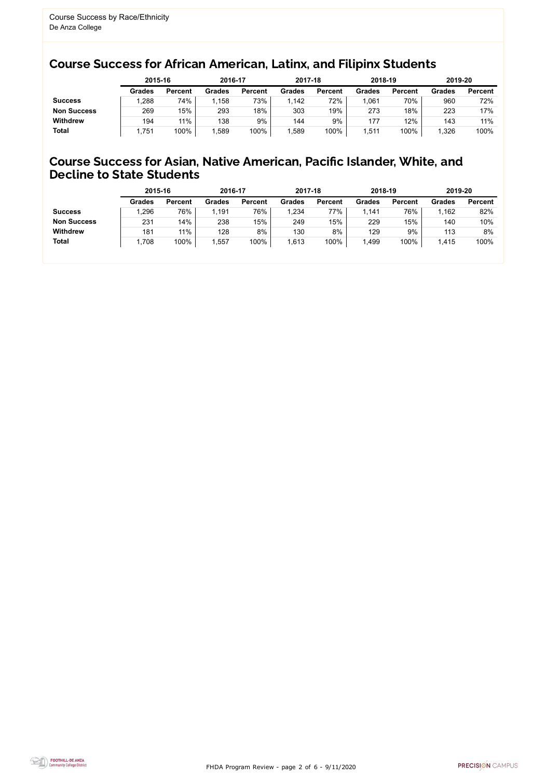FHDA Program Review - page 2 of 6 - 9/11/2020



### Course Success for African American, Latinx, and Filipinx Students

### Course Success for Asian, Native American, Pacific Islander, White, and Decline to State Students

|                    |               | 2015-16        |               | 2016-17        |               | 2017-18        | 2018-19       |                | 2019-20       |                |
|--------------------|---------------|----------------|---------------|----------------|---------------|----------------|---------------|----------------|---------------|----------------|
|                    | <b>Grades</b> | <b>Percent</b> | <b>Grades</b> | <b>Percent</b> | <b>Grades</b> | <b>Percent</b> | <b>Grades</b> | <b>Percent</b> | <b>Grades</b> | <b>Percent</b> |
| <b>Success</b>     | ,288          | 74%            | 1,158         | 73%            | 1,142         | 72%            | ,061          | 70%            | 960           | 72%            |
| <b>Non Success</b> | 269           | 15%            | 293           | 18%            | 303           | 19%            | 273           | 18%            | 223           | 17%            |
| <b>Withdrew</b>    | 194           | 11%            | 138           | 9%             | 144           | 9%             | 177           | 12%            | 143           | 11%            |
| <b>Total</b>       | 751,          | 100%           | ,589          | 100%           | 1,589         | 100%           | ,511          | 100%           | 1,326         | 100%           |

|                    | 2015-16       |                | 2016-17       |                | 2017-18       |                | 2018-19       |                | 2019-20 |                |
|--------------------|---------------|----------------|---------------|----------------|---------------|----------------|---------------|----------------|---------|----------------|
|                    | <b>Grades</b> | <b>Percent</b> | <b>Grades</b> | <b>Percent</b> | <b>Grades</b> | <b>Percent</b> | <b>Grades</b> | <b>Percent</b> | Grades  | <b>Percent</b> |
| <b>Success</b>     | 1,296         | 76%            | 1,191         | 76%            | 1,234         | 77%            | 1.141         | 76%            | 1,162   | 82%            |
| <b>Non Success</b> | 231           | 14%            | 238           | 15%            | 249           | 15%            | 229           | 15%            | 140     | 10%            |
| <b>Withdrew</b>    | 181           | 11%            | 128           | 8%             | 130           | 8%             | 129           | 9%             | 113     | 8%             |
| <b>Total</b>       | 1,708         | 100%           | 1,557         | 100%           | 1,613         | 100%           | ,499          | 100%           | 1,415   | 100%           |
|                    |               |                |               |                |               |                |               |                |         |                |

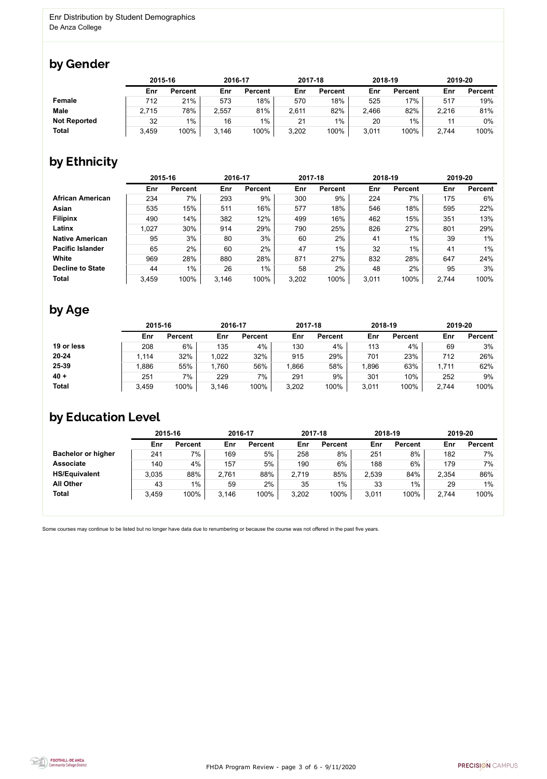

Some courses may continue to be listed but no longer have data due to renumbering or because the course was not offered in the past five years.



### by Gender

|                     |       | 2015-16        |       | 2016-17        |       | 2017-18        |       | 2018-19        | 2019-20 |                |
|---------------------|-------|----------------|-------|----------------|-------|----------------|-------|----------------|---------|----------------|
|                     | Enr   | <b>Percent</b> | Enr   | <b>Percent</b> | Enr   | <b>Percent</b> | Enr   | <b>Percent</b> | Enr     | <b>Percent</b> |
| Female              | 712   | 21%            | 573   | 18%            | 570   | 18%            | 525   | 17%            | 517     | 19%            |
| <b>Male</b>         | 2,715 | 78%            | 2,557 | 81%            | 2,611 | 82%            | 2,466 | 82%            | 2,216   | 81%            |
| <b>Not Reported</b> | 32    | $1\%$          | 16    | $1\%$          | 21    | 1%             | 20    | $1\%$          |         | $0\%$          |
| <b>Total</b>        | 3,459 | 100%           | 3,146 | 100%           | 3,202 | 100%           | 3,011 | 100%           | 2,744   | 100%           |

## by Ethnicity

|                         |       | 2015-16        |       | 2016-17        |       | 2017-18        | 2018-19 |                | 2019-20 |                |
|-------------------------|-------|----------------|-------|----------------|-------|----------------|---------|----------------|---------|----------------|
|                         | Enr   | <b>Percent</b> | Enr   | <b>Percent</b> | Enr   | <b>Percent</b> | Enr     | <b>Percent</b> | Enr     | <b>Percent</b> |
| <b>African American</b> | 234   | 7%             | 293   | 9%             | 300   | 9%             | 224     | 7%             | 175     | 6%             |
| <b>Asian</b>            | 535   | 15%            | 511   | 16%            | 577   | 18%            | 546     | 18%            | 595     | 22%            |
| <b>Filipinx</b>         | 490   | 14%            | 382   | 12%            | 499   | 16%            | 462     | 15%            | 351     | 13%            |
| Latinx                  | 1,027 | 30%            | 914   | 29%            | 790   | 25%            | 826     | 27%            | 801     | 29%            |
| <b>Native American</b>  | 95    | 3%             | 80    | 3%             | 60    | 2%             | 41      | $1\%$          | 39      | $1\%$          |
| <b>Pacific Islander</b> | 65    | 2%             | 60    | 2%             | 47    | $1\%$          | 32      | $1\%$          | 41      | $1\%$          |
| White                   | 969   | 28%            | 880   | 28%            | 871   | 27%            | 832     | 28%            | 647     | 24%            |
| <b>Decline to State</b> | 44    | $1\%$          | 26    | $1\%$          | 58    | 2%             | 48      | 2%             | 95      | 3%             |
| <b>Total</b>            | 3,459 | 100%           | 3.146 | 100%           | 3,202 | 100%           | 3,011   | 100%           | 2,744   | 100%           |

### by Age

|              | 2015-16 |                | 2016-17 |                | 2017-18 |                | 2018-19 |                | 2019-20 |                |
|--------------|---------|----------------|---------|----------------|---------|----------------|---------|----------------|---------|----------------|
|              | Enr     | <b>Percent</b> | Enr     | <b>Percent</b> | Enr     | <b>Percent</b> | Enr     | <b>Percent</b> | Enr     | <b>Percent</b> |
| 19 or less   | 208     | 6%             | 135     | 4%             | 130     | 4%             | 113     | 4%             | 69      | 3%             |
| $20 - 24$    | ,114    | 32%            | 1,022   | 32%            | 915     | 29%            | 701     | 23%            | 712     | 26%            |
| 25-39        | .886    | 55%            | 1,760   | 56%            | ,866    | 58%            | ,896    | 63%            | 1,711   | 62%            |
| $40 +$       | 251     | 7%             | 229     | 7%             | 291     | 9%             | 301     | 10%            | 252     | 9%             |
| <b>Total</b> | 3,459   | 100%           | 3,146   | 100%           | 3,202   | 100%           | 3,011   | 100%           | 2,744   | 100%           |

## by Education Level

|                           | 2015-16 |                |       | 2016-17        |       | 2017-18        | 2018-19 |                | 2019-20 |                |
|---------------------------|---------|----------------|-------|----------------|-------|----------------|---------|----------------|---------|----------------|
|                           | Enr     | <b>Percent</b> | Enr   | <b>Percent</b> | Enr   | <b>Percent</b> | Enr     | <b>Percent</b> | Enr     | <b>Percent</b> |
| <b>Bachelor or higher</b> | 241     | 7%             | 169   | 5%             | 258   | 8%             | 251     | 8%             | 182     | 7%             |
| <b>Associate</b>          | 140     | 4%             | 157   | 5%             | 190   | 6%             | 188     | 6%             | 179     | 7%             |
| <b>HS/Equivalent</b>      | 3,035   | 88%            | 2,761 | 88%            | 2,719 | 85%            | 2,539   | 84%            | 2,354   | 86%            |
| <b>All Other</b>          | 43      | $1\%$          | 59    | 2%             | 35    | 1%             | 33      | $1\%$          | 29      | $1\%$          |
| <b>Total</b>              | 3,459   | 100%           | 3,146 | 100%           | 3,202 | 100%           | 3,011   | 100%           | 2,744   | 100%           |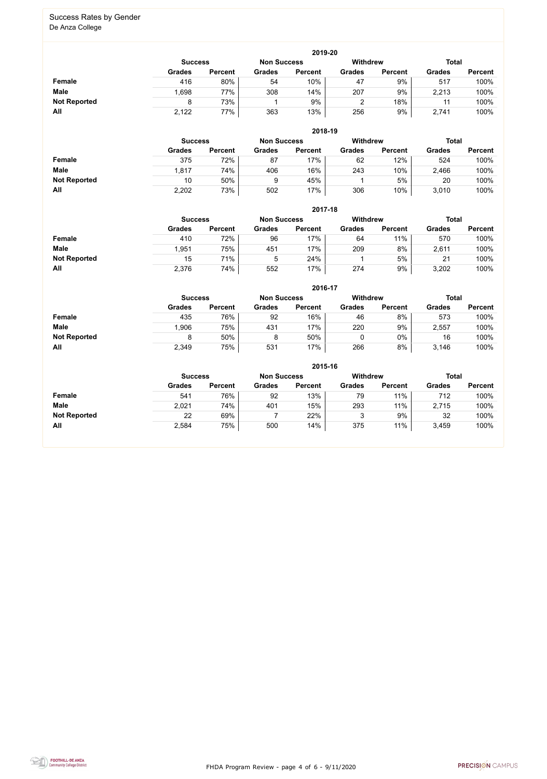FHDA Program Review - page 4 of 6 - 9/11/2020



#### Success Rates by Gender De Anza College

|                     | 2019-20       |                                      |               |                |               |                 |               |                |  |  |  |  |  |
|---------------------|---------------|--------------------------------------|---------------|----------------|---------------|-----------------|---------------|----------------|--|--|--|--|--|
|                     |               | <b>Non Success</b><br><b>Success</b> |               |                |               | <b>Withdrew</b> | <b>Total</b>  |                |  |  |  |  |  |
|                     | <b>Grades</b> | <b>Percent</b>                       | <b>Grades</b> | <b>Percent</b> | <b>Grades</b> | <b>Percent</b>  | <b>Grades</b> | <b>Percent</b> |  |  |  |  |  |
| <b>Female</b>       | 416           | 80%                                  | 54            | 10%            | 47            | 9%              | 517           | 100%           |  |  |  |  |  |
| <b>Male</b>         | .698          | 77%                                  | 308           | 14%            | 207           | 9%              | 2,213         | 100%           |  |  |  |  |  |
| <b>Not Reported</b> |               | 73%                                  |               | 9%             |               | 18%             |               | 100%           |  |  |  |  |  |
| All                 | 2,122         | 77%                                  | 363           | 13%            | 256           | 9%              | 2,741         | 100%           |  |  |  |  |  |

|                     |               | 2018-19                              |               |                |               |                 |               |                |  |  |  |  |  |  |
|---------------------|---------------|--------------------------------------|---------------|----------------|---------------|-----------------|---------------|----------------|--|--|--|--|--|--|
|                     |               | <b>Non Success</b><br><b>Success</b> |               |                |               | <b>Withdrew</b> | <b>Total</b>  |                |  |  |  |  |  |  |
|                     | <b>Grades</b> | <b>Percent</b>                       | <b>Grades</b> | <b>Percent</b> | <b>Grades</b> | <b>Percent</b>  | <b>Grades</b> | <b>Percent</b> |  |  |  |  |  |  |
| Female              | 375           | 72%                                  | 87            | 17%            | 62            | 12%             | 524           | 100%           |  |  |  |  |  |  |
| <b>Male</b>         | 1,817         | 74%                                  | 406           | 16%            | 243           | 10%             | 2,466         | 100%           |  |  |  |  |  |  |
| <b>Not Reported</b> | 10            | 50%                                  | 9             | 45%            |               | 5%              | 20            | 100%           |  |  |  |  |  |  |
| All                 | 2,202         | 73%                                  | 502           | 17%            | 306           | 10%             | 3,010         | 100%           |  |  |  |  |  |  |

|                     |                | 2017-18        |                    |                 |               |                |               |                |  |  |  |  |  |
|---------------------|----------------|----------------|--------------------|-----------------|---------------|----------------|---------------|----------------|--|--|--|--|--|
|                     | <b>Success</b> |                | <b>Non Success</b> | <b>Withdrew</b> |               | <b>Total</b>   |               |                |  |  |  |  |  |
|                     | <b>Grades</b>  | <b>Percent</b> | <b>Grades</b>      | <b>Percent</b>  | <b>Grades</b> | <b>Percent</b> | <b>Grades</b> | <b>Percent</b> |  |  |  |  |  |
| Female              | 410            | 72%            | 96                 | 17%             | 64            | 11%            | 570           | 100%           |  |  |  |  |  |
| <b>Male</b>         | .951           | 75%            | 451                | 17%             | 209           | 8%             | 2,611         | 100%           |  |  |  |  |  |
| <b>Not Reported</b> | 15             | 71%            | 5                  | 24%             |               | 5%             | 21            | 100%           |  |  |  |  |  |
| All                 | 2,376          | 74%            | 552                | 17%             | 274           | 9%             | 3,202         | 100%           |  |  |  |  |  |

|                     |               |                                                                         |               | 2016-17        |               |                |               |                |  |  |
|---------------------|---------------|-------------------------------------------------------------------------|---------------|----------------|---------------|----------------|---------------|----------------|--|--|
|                     |               | <b>Withdrew</b><br><b>Total</b><br><b>Non Success</b><br><b>Success</b> |               |                |               |                |               |                |  |  |
|                     | <b>Grades</b> | <b>Percent</b>                                                          | <b>Grades</b> | <b>Percent</b> | <b>Grades</b> | <b>Percent</b> | <b>Grades</b> | <b>Percent</b> |  |  |
| Female              | 435           | 76%                                                                     | 92            | 16%            | 46            | 8%             | 573           | 100%           |  |  |
| <b>Male</b>         | 1,906         | 75%                                                                     | 431           | 17%            | 220           | 9%             | 2,557         | 100%           |  |  |
| <b>Not Reported</b> | 8             | 50%                                                                     | 8             | 50%            |               | $0\%$          | 16            | 100%           |  |  |
| All                 | 2,349         | 75%                                                                     | 531           | 17%            | 266           | 8%             | 3,146         | 100%           |  |  |

|                     |               |                                                                  |               | 2015-16        |               |                |               |                |  |  |
|---------------------|---------------|------------------------------------------------------------------|---------------|----------------|---------------|----------------|---------------|----------------|--|--|
|                     |               | Withdrew<br><b>Total</b><br><b>Non Success</b><br><b>Success</b> |               |                |               |                |               |                |  |  |
|                     | <b>Grades</b> | <b>Percent</b>                                                   | <b>Grades</b> | <b>Percent</b> | <b>Grades</b> | <b>Percent</b> | <b>Grades</b> | <b>Percent</b> |  |  |
| Female              | 541           | 76%                                                              | 92            | 13%            | 79            | 11%            | 712           | 100%           |  |  |
| <b>Male</b>         | 2,021         | 74%                                                              | 401           | 15%            | 293           | 11%            | 2,715         | 100%           |  |  |
| <b>Not Reported</b> | 22            | 69%                                                              |               | 22%            | 3             | 9%             | 32            | 100%           |  |  |
| All                 | 2,584         | 75%                                                              | 500           | 14%            | 375           | 11%            | 3,459         | 100%           |  |  |

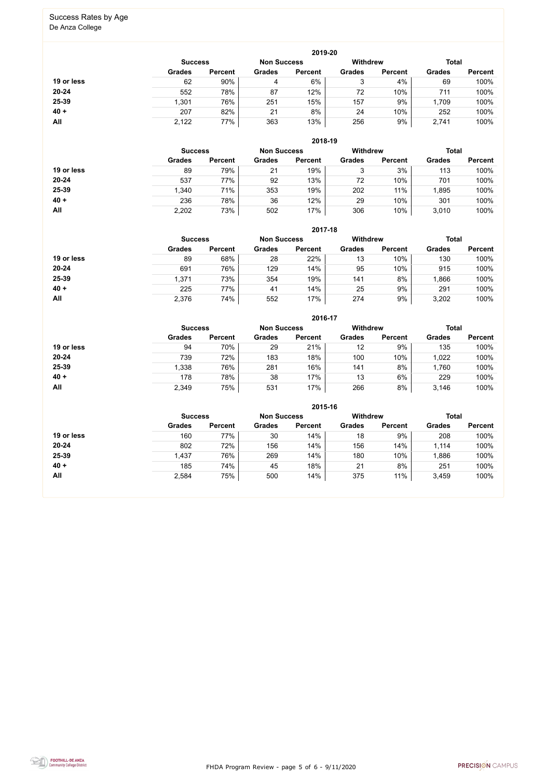FHDA Program Review - page 5 of 6 - 9/11/2020



#### Success Rates by Age De Anza College

|            |                |                    |               | 2019-20         |               |                |               |                |
|------------|----------------|--------------------|---------------|-----------------|---------------|----------------|---------------|----------------|
|            | <b>Success</b> | <b>Non Success</b> |               | <b>Withdrew</b> |               | <b>Total</b>   |               |                |
|            | <b>Grades</b>  | <b>Percent</b>     | <b>Grades</b> | <b>Percent</b>  | <b>Grades</b> | <b>Percent</b> | <b>Grades</b> | <b>Percent</b> |
| 19 or less | 62             | 90%                | 4             | 6%              | 3             | 4%             | 69            | 100%           |
| $20 - 24$  | 552            | 78%                | 87            | 12%             | 72            | 10%            | 711           | 100%           |
| 25-39      | 1,301          | 76%                | 251           | 15%             | 157           | 9%             | 1,709         | 100%           |
| $40 +$     | 207            | 82%                | 21            | 8%              | 24            | 10%            | 252           | 100%           |
| All        | 2,122          | 77%                | 363           | 13%             | 256           | 9%             | 2,741         | 100%           |

**2018-19**

|            | <b>Success</b> |                | <b>Non Success</b> |                | <b>Withdrew</b> |                | <b>Total</b>  |                |
|------------|----------------|----------------|--------------------|----------------|-----------------|----------------|---------------|----------------|
|            | <b>Grades</b>  | <b>Percent</b> | <b>Grades</b>      | <b>Percent</b> | <b>Grades</b>   | <b>Percent</b> | <b>Grades</b> | <b>Percent</b> |
| 19 or less | 89             | 79%            | 21                 | 19%            | 3               | 3%             | 113           | 100%           |
| $20 - 24$  | 537            | 77%            | 92                 | 13%            | 72              | 10%            | 701           | 100%           |
| 25-39      | 1,340          | 71%            | 353                | 19%            | 202             | 11%            | ,895          | 100%           |
| $40 +$     | 236            | 78%            | 36                 | 12%            | 29              | 10%            | 301           | 100%           |
| All        | 2,202          | 73%            | 502                | 17%            | 306             | 10%            | 3,010         | 100%           |

|            |                                                                         |                |               | 2017-18        |               |                |               |                |
|------------|-------------------------------------------------------------------------|----------------|---------------|----------------|---------------|----------------|---------------|----------------|
|            | <b>Withdrew</b><br><b>Total</b><br><b>Non Success</b><br><b>Success</b> |                |               |                |               |                |               |                |
|            | <b>Grades</b>                                                           | <b>Percent</b> | <b>Grades</b> | <b>Percent</b> | <b>Grades</b> | <b>Percent</b> | <b>Grades</b> | <b>Percent</b> |
| 19 or less | 89                                                                      | 68%            | 28            | 22%            | 13            | 10%            | 130           | 100%           |
| $20 - 24$  | 691                                                                     | 76%            | 129           | 14%            | 95            | 10%            | 915           | 100%           |
| 25-39      | 1,371                                                                   | 73%            | 354           | 19%            | 141           | 8%             | 1,866         | 100%           |
| $40 +$     | 225                                                                     | 77%            | 41            | 14%            | 25            | 9%             | 291           | 100%           |
| All        | 2,376                                                                   | 74%            | 552           | 17%            | 274           | 9%             | 3,202         | 100%           |

|            |                |                    |               | 2016-17         |               |                |               |                |
|------------|----------------|--------------------|---------------|-----------------|---------------|----------------|---------------|----------------|
|            | <b>Success</b> | <b>Non Success</b> |               | <b>Withdrew</b> |               | <b>Total</b>   |               |                |
|            | <b>Grades</b>  | <b>Percent</b>     | <b>Grades</b> | <b>Percent</b>  | <b>Grades</b> | <b>Percent</b> | <b>Grades</b> | <b>Percent</b> |
| 19 or less | 94             | 70%                | 29            | 21%             | 12            | 9%             | 135           | 100%           |
| $20 - 24$  | 739            | 72%                | 183           | 18%             | 100           | 10%            | 1,022         | 100%           |
| 25-39      | 1,338          | 76%                | 281           | 16%             | 141           | 8%             | 1,760         | 100%           |
| $40 +$     | 178            | 78%                | 38            | 17%             | 13            | 6%             | 229           | 100%           |
| All        | 2,349          | 75%                | 531           | 17%             | 266           | 8%             | 3,146         | 100%           |

|            |                |                |                    | 2015-16        |                 |                |               |                |
|------------|----------------|----------------|--------------------|----------------|-----------------|----------------|---------------|----------------|
|            | <b>Success</b> |                | <b>Non Success</b> |                | <b>Withdrew</b> |                | <b>Total</b>  |                |
|            | <b>Grades</b>  | <b>Percent</b> | <b>Grades</b>      | <b>Percent</b> | <b>Grades</b>   | <b>Percent</b> | <b>Grades</b> | <b>Percent</b> |
| 19 or less | 160            | 77%            | 30                 | 14%            | 18              | 9%             | 208           | 100%           |
| $20 - 24$  | 802            | 72%            | 156                | 14%            | 156             | 14%            | 1,114         | 100%           |
| 25-39      | 1,437          | 76%            | 269                | 14%            | 180             | 10%            | 1,886         | 100%           |
| $40 +$     | 185            | 74%            | 45                 | 18%            | 21              | 8%             | 251           | 100%           |
| All        | 2,584          | 75%            | 500                | 14%            | 375             | 11%            | 3,459         | 100%           |